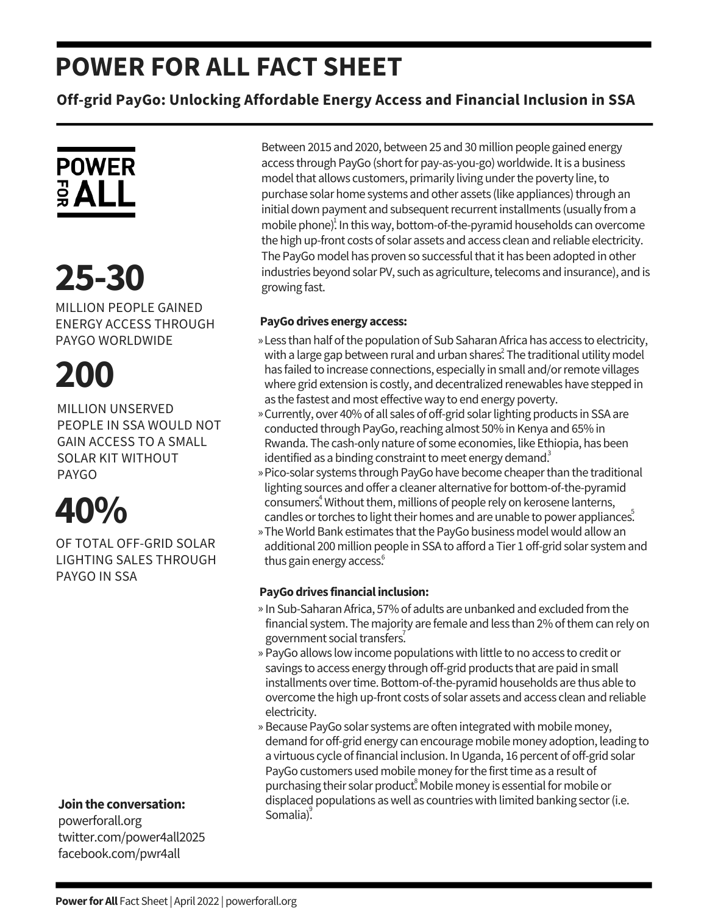### **POWER FOR ALL FACT SHEET**

**Off-grid PayGo: Unlocking Affordable Energy Access and Financial Inclusion in SSA**

## **POWER**  $rac{1}{2}$  ALL

## **25-30**

MILLION PEOPLE GAINED ENERGY ACCESS THROUGH PAYGO WORLDWIDE

# **200**

MILLION UNSERVED PEOPLE IN SSA WOULD NOT GAIN ACCESS TO A SMALL SOLAR KIT WITHOUT PAYGO

## **40%**

OF TOTAL OFF-GRID SOLAR LIGHTING SALES THROUGH PAYGO IN SSA

**Jointhe conversation:**

powerforall.org twitter.com/power4all2025 facebook.com/pwr4all

Between 2015 and 2020, between 25 and 30 million people gained energy access through PayGo (short for pay-as-you-go) worldwide. It is a business model that allows customers, primarily living under the poverty line, to purchase solar home systems and other assets (like appliances) through an initial down payment and subsequent recurrent installments (usually from a mobile phone)<sup>1</sup>. In this way, bottom-of-the-pyramid households can overcome the high up-front costs of solar assets and access clean and reliable electricity. The PayGo model has proven so successful that it has been adopted in other industries beyond solar PV, such as agriculture, telecoms and insurance), and is growing fast.

### **PayGodrives energy access:**

- » Less than half of the population of Sub Saharan Africa has access to electricity, with a large gap between rural and urban shares $\hat{\cdot}$  The traditional utility model has failed to increase connections, especially in small and/or remote villages where grid extension is costly, and decentralized renewables have stepped in as the fastest and most effective way to end energy poverty.
- » Currently, over 40% of all sales of off-grid solar lighting products in SSA are conducted through PayGo, reaching almost 50% in Kenya and 65% in Rwanda. The cash-only nature of some economies, like Ethiopia, has been identified as a binding constraint to meet energy demand.
- » Pico-solar systems through PayGo have become cheaper than the traditional lighting sources and offer a cleaner alternative for bottom-of-the-pyramid consumers<sup>4</sup>. Without them, millions of people rely on kerosene lanterns, candles or torches to light their homes and are unable to power appliances.
- » The World Bank estimates that the PayGo business model would allow an additional 200 million people in SSA to afford a Tier 1 off-grid solar system and thus gain energy access.<sup>6</sup>

#### **PayGodrives financialinclusion:**

- » In Sub-Saharan Africa, 57% of adults are unbanked and excluded from the financial system. The majority are female and less than 2% of them can rely on government social transfers.
- » PayGo allows low income populations with little to no access to credit or savings to access energy through off-grid products that are paid in small installments over time. Bottom-of-the-pyramid households are thus able to overcome the high up-front costs of solar assets and access clean and reliable electricity.
- » Because PayGo solar systems are often integrated with mobile money, demand for off-grid energy can encourage mobile money adoption, leading to a virtuous cycle of financial inclusion. In Uganda, 16 percent of off-grid solar PayGo customers used mobile money for the first time as a result of purchasing their solar product. Mobile money is essential for mobile or displaced populations as well as countries with limited banking sector (i.e. Somalia).